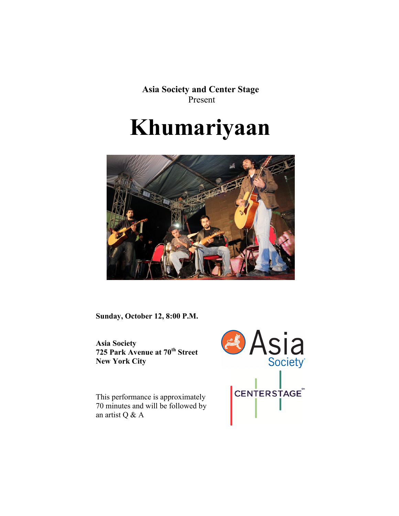**Asia Society and Center Stage** Present

# **Khumariyaan**



**Sunday, October 12, 8:00 P.M.**

**Asia Society 725 Park Avenue at 70th Street New York City**

This performance is approximately 70 minutes and will be followed by an artist Q & A

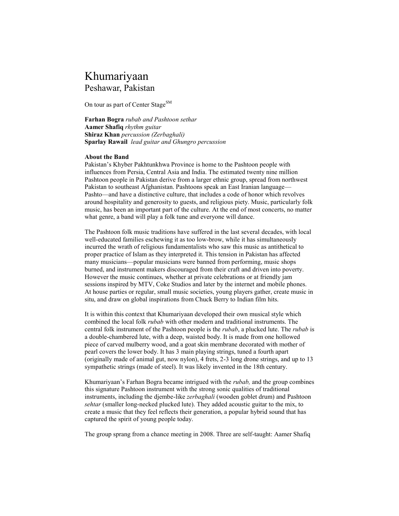# Khumariyaan Peshawar, Pakistan

On tour as part of Center Stage<sup>SM</sup>

**Farhan Bogra** *rubab and Pashtoon sethar*  **Aamer Shafiq** *rhythm guitar* **Shiraz Khan** *percussion (Zerbaghali)* **Sparlay Rawail** *lead guitar and Ghungro percussion*

## **About the Band**

Pakistan's Khyber Pakhtunkhwa Province is home to the Pashtoon people with influences from Persia, Central Asia and India. The estimated twenty nine million Pashtoon people in Pakistan derive from a larger ethnic group, spread from northwest Pakistan to southeast Afghanistan. Pashtoons speak an East Iranian language— Pashto—and have a distinctive culture, that includes a code of honor which revolves around hospitality and generosity to guests, and religious piety. Music, particularly folk music, has been an important part of the culture. At the end of most concerts, no matter what genre, a band will play a folk tune and everyone will dance.

The Pashtoon folk music traditions have suffered in the last several decades, with local well-educated families eschewing it as too low-brow, while it has simultaneously incurred the wrath of religious fundamentalists who saw this music as antithetical to proper practice of Islam as they interpreted it. This tension in Pakistan has affected many musicians—popular musicians were banned from performing, music shops burned, and instrument makers discouraged from their craft and driven into poverty. However the music continues, whether at private celebrations or at friendly jam sessions inspired by MTV, Coke Studios and later by the internet and mobile phones. At house parties or regular, small music societies, young players gather, create music in situ, and draw on global inspirations from Chuck Berry to Indian film hits.

It is within this context that Khumariyaan developed their own musical style which combined the local folk *rubab* with other modern and traditional instruments. The central folk instrument of the Pashtoon people is the *rubab*, a plucked lute. The *rubab* is a double-chambered lute, with a deep, waisted body. It is made from one hollowed piece of carved mulberry wood, and a goat skin membrane decorated with mother of pearl covers the lower body. It has 3 main playing strings, tuned a fourth apart (originally made of animal gut, now nylon), 4 frets, 2-3 long drone strings, and up to 13 sympathetic strings (made of steel). It was likely invented in the 18th century.

Khumariyaan's Farhan Bogra became intrigued with the *rubab,* and the group combines this signature Pashtoon instrument with the strong sonic qualities of traditional instruments, including the djembe-like *zerbaghali* (wooden goblet drum) and Pashtoon *sehtar* (smaller long-necked plucked lute). They added acoustic guitar to the mix, to create a music that they feel reflects their generation, a popular hybrid sound that has captured the spirit of young people today.

The group sprang from a chance meeting in 2008. Three are self-taught: Aamer Shafiq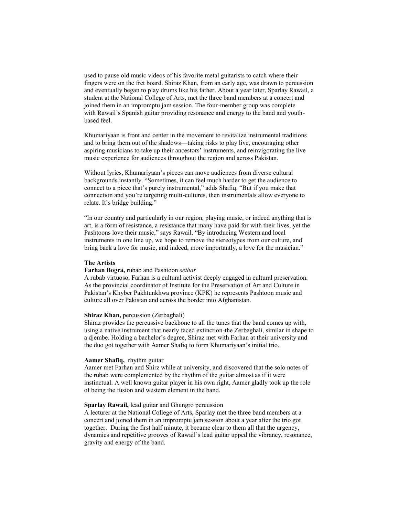used to pause old music videos of his favorite metal guitarists to catch where their fingers were on the fret board. Shiraz Khan, from an early age, was drawn to percussion and eventually began to play drums like his father. About a year later, Sparlay Rawail, a student at the National College of Arts, met the three band members at a concert and joined them in an impromptu jam session. The four-member group was complete with Rawail's Spanish guitar providing resonance and energy to the band and youthbased feel.

Khumariyaan is front and center in the movement to revitalize instrumental traditions and to bring them out of the shadows—taking risks to play live, encouraging other aspiring musicians to take up their ancestors' instruments, and reinvigorating the live music experience for audiences throughout the region and across Pakistan.

Without lyrics, Khumariyaan's pieces can move audiences from diverse cultural backgrounds instantly. "Sometimes, it can feel much harder to get the audience to connect to a piece that's purely instrumental," adds Shafiq. "But if you make that connection and you're targeting multi-cultures, then instrumentals allow everyone to relate. It's bridge building."

"In our country and particularly in our region, playing music, or indeed anything that is art, is a form of resistance, a resistance that many have paid for with their lives, yet the Pashtoons love their music," says Rawail. "By introducing Western and local instruments in one line up, we hope to remove the stereotypes from our culture, and bring back a love for music, and indeed, more importantly, a love for the musician."

#### **The Artists**

#### **Farhan Bogra,** rubab and Pashtoon *sethar*

A rubab virtuoso, Farhan is a cultural activist deeply engaged in cultural preservation. As the provincial coordinator of Institute for the Preservation of Art and Culture in Pakistan's Khyber Pakhtunkhwa province (KPK) he represents Pashtoon music and culture all over Pakistan and across the border into Afghanistan.

#### **Shiraz Khan,** percussion (Zerbaghali)

Shiraz provides the percussive backbone to all the tunes that the band comes up with, using a native instrument that nearly faced extinction-the Zerbaghali, similar in shape to a djembe. Holding a bachelor's degree, Shiraz met with Farhan at their university and the duo got together with Aamer Shafiq to form Khumariyaan's initial trio.

#### **Aamer Shafiq,** rhythm guitar

Aamer met Farhan and Shirz while at university, and discovered that the solo notes of the rubab were complemented by the rhythm of the guitar almost as if it were instinctual. A well known guitar player in his own right, Aamer gladly took up the role of being the fusion and western element in the band.

#### **Sparlay Rawail,** lead guitar and Ghungro percussion

A lecturer at the National College of Arts, Sparlay met the three band members at a concert and joined them in an impromptu jam session about a year after the trio got together. During the first half minute, it became clear to them all that the urgency, dynamics and repetitive grooves of Rawail's lead guitar upped the vibrancy, resonance, gravity and energy of the band.